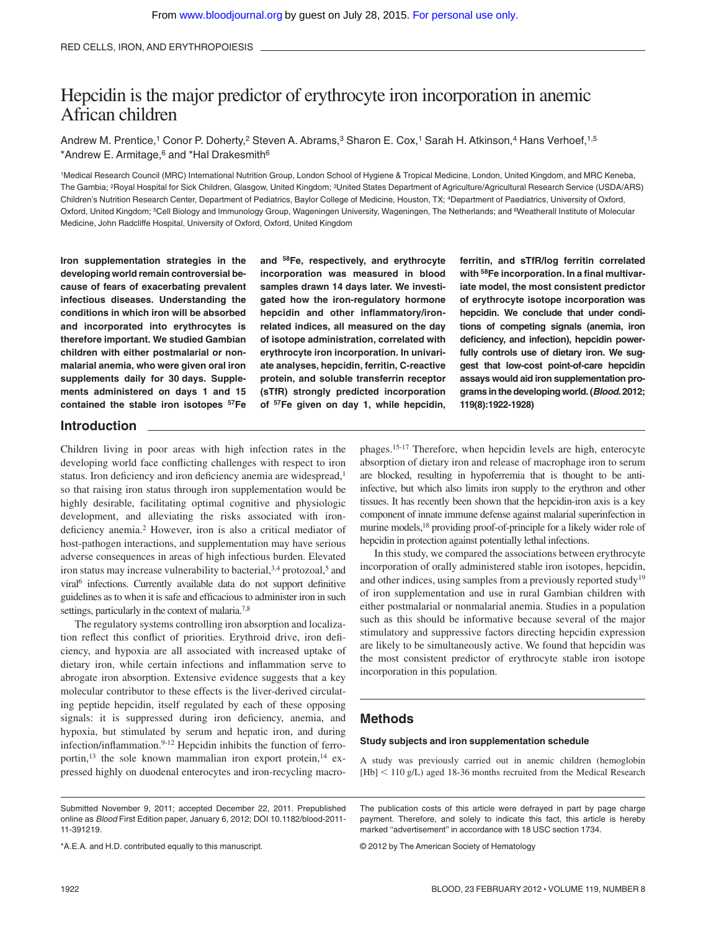# Hepcidin is the major predictor of erythrocyte iron incorporation in anemic African children

Andrew M. Prentice,<sup>1</sup> Conor P. Doherty,<sup>2</sup> Steven A. Abrams,<sup>3</sup> Sharon E. Cox,<sup>1</sup> Sarah H. Atkinson,<sup>4</sup> Hans Verhoef,<sup>1,5</sup> \*Andrew E. Armitage,<sup>6</sup> and \*Hal Drakesmith<sup>6</sup>

1Medical Research Council (MRC) International Nutrition Group, London School of Hygiene & Tropical Medicine, London, United Kingdom, and MRC Keneba, The Gambia; 2Royal Hospital for Sick Children, Glasgow, United Kingdom; 3United States Department of Agriculture/Agricultural Research Service (USDA/ARS) Children's Nutrition Research Center, Department of Pediatrics, Baylor College of Medicine, Houston, TX; 4Department of Paediatrics, University of Oxford, Oxford, United Kingdom; <sup>5</sup>Cell Biology and Immunology Group, Wageningen University, Wageningen, The Netherlands; and <sup>6</sup>Weatherall Institute of Molecular Medicine, John Radcliffe Hospital, University of Oxford, Oxford, United Kingdom

**Iron supplementation strategies in the developing world remain controversial because of fears of exacerbating prevalent infectious diseases. Understanding the conditions in which iron will be absorbed and incorporated into erythrocytes is therefore important. We studied Gambian children with either postmalarial or nonmalarial anemia, who were given oral iron supplements daily for 30 days. Supplements administered on days 1 and 15 contained the stable iron isotopes 57Fe**

**and 58Fe, respectively, and erythrocyte incorporation was measured in blood samples drawn 14 days later. We investigated how the iron-regulatory hormone hepcidin and other inflammatory/ironrelated indices, all measured on the day of isotope administration, correlated with erythrocyte iron incorporation. In univariate analyses, hepcidin, ferritin, C-reactive protein, and soluble transferrin receptor (sTfR) strongly predicted incorporation of 57Fe given on day 1, while hepcidin,**

**ferritin, and sTfR/log ferritin correlated with 58Fe incorporation. In a final multivariate model, the most consistent predictor of erythrocyte isotope incorporation was hepcidin. We conclude that under conditions of competing signals (anemia, iron deficiency, and infection), hepcidin powerfully controls use of dietary iron. We suggest that low-cost point-of-care hepcidin assays would aid iron supplementation programs in the developing world. (***Blood***. 2012; 119(8):1922-1928)**

#### **Introduction**

Children living in poor areas with high infection rates in the developing world face conflicting challenges with respect to iron status. Iron deficiency and iron deficiency anemia are widespread,<sup>1</sup> so that raising iron status through iron supplementation would be highly desirable, facilitating optimal cognitive and physiologic development, and alleviating the risks associated with irondeficiency anemia.2 However, iron is also a critical mediator of host-pathogen interactions, and supplementation may have serious adverse consequences in areas of high infectious burden. Elevated iron status may increase vulnerability to bacterial,  $3,4$  protozoal,  $5$  and viral<sup>6</sup> infections. Currently available data do not support definitive guidelines as to when it is safe and efficacious to administer iron in such settings, particularly in the context of malaria.<sup>7,8</sup>

The regulatory systems controlling iron absorption and localization reflect this conflict of priorities. Erythroid drive, iron deficiency, and hypoxia are all associated with increased uptake of dietary iron, while certain infections and inflammation serve to abrogate iron absorption. Extensive evidence suggests that a key molecular contributor to these effects is the liver-derived circulating peptide hepcidin, itself regulated by each of these opposing signals: it is suppressed during iron deficiency, anemia, and hypoxia, but stimulated by serum and hepatic iron, and during infection/inflammation.<sup>9-12</sup> Hepcidin inhibits the function of ferroportin,<sup>13</sup> the sole known mammalian iron export protein,<sup>14</sup> expressed highly on duodenal enterocytes and iron-recycling macrophages.15-17 Therefore, when hepcidin levels are high, enterocyte absorption of dietary iron and release of macrophage iron to serum are blocked, resulting in hypoferremia that is thought to be antiinfective, but which also limits iron supply to the erythron and other tissues. It has recently been shown that the hepcidin-iron axis is a key component of innate immune defense against malarial superinfection in murine models,18 providing proof-of-principle for a likely wider role of hepcidin in protection against potentially lethal infections.

In this study, we compared the associations between erythrocyte incorporation of orally administered stable iron isotopes, hepcidin, and other indices, using samples from a previously reported study<sup>19</sup> of iron supplementation and use in rural Gambian children with either postmalarial or nonmalarial anemia. Studies in a population such as this should be informative because several of the major stimulatory and suppressive factors directing hepcidin expression are likely to be simultaneously active. We found that hepcidin was the most consistent predictor of erythrocyte stable iron isotope incorporation in this population.

# **Methods**

#### **Study subjects and iron supplementation schedule**

A study was previously carried out in anemic children (hemoglobin  $[Hb]$  < 110 g/L) aged 18-36 months recruited from the Medical Research

\*A.E.A. and H.D. contributed equally to this manuscript.

The publication costs of this article were defrayed in part by page charge payment. Therefore, and solely to indicate this fact, this article is hereby marked ''advertisement'' in accordance with 18 USC section 1734.

© 2012 by The American Society of Hematology

Submitted November 9, 2011; accepted December 22, 2011. Prepublished online as *Blood* First Edition paper, January 6, 2012; DOI 10.1182/blood-2011- 11-391219.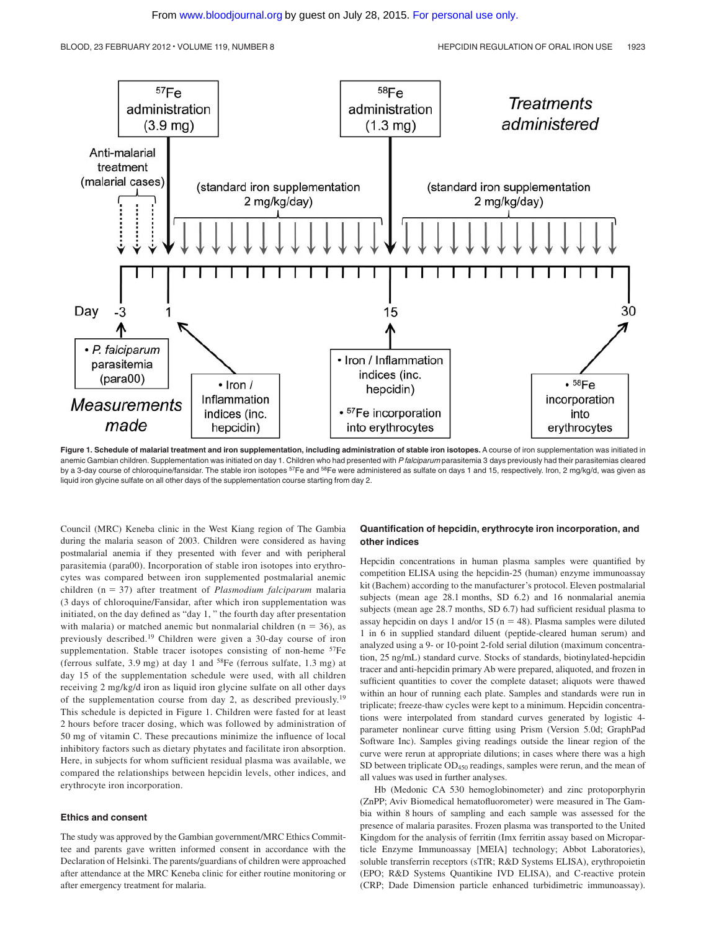

Figure 1. Schedule of malarial treatment and iron supplementation, including administration of stable iron isotopes. A course of iron supplementation was initiated in anemic Gambian children. Supplementation was initiated on day 1. Children who had presented with *P falciparum* parasitemia 3 days previously had their parasitemias cleared by a 3-day course of chloroquine/fansidar. The stable iron isotopes <sup>57</sup>Fe and <sup>58</sup>Fe were administered as sulfate on days 1 and 15, respectively. Iron, 2 mg/kg/d, was given as liquid iron glycine sulfate on all other days of the supplementation course starting from day 2.

Council (MRC) Keneba clinic in the West Kiang region of The Gambia during the malaria season of 2003. Children were considered as having postmalarial anemia if they presented with fever and with peripheral parasitemia (para00). Incorporation of stable iron isotopes into erythrocytes was compared between iron supplemented postmalarial anemic children (n - 37) after treatment of *Plasmodium falciparum* malaria (3 days of chloroquine/Fansidar, after which iron supplementation was initiated, on the day defined as "day 1, " the fourth day after presentation with malaria) or matched anemic but nonmalarial children  $(n = 36)$ , as previously described.19 Children were given a 30-day course of iron supplementation. Stable tracer isotopes consisting of non-heme <sup>57</sup>Fe (ferrous sulfate, 3.9 mg) at day 1 and 58Fe (ferrous sulfate, 1.3 mg) at day 15 of the supplementation schedule were used, with all children receiving 2 mg/kg/d iron as liquid iron glycine sulfate on all other days of the supplementation course from day 2, as described previously.19 This schedule is depicted in Figure 1. Children were fasted for at least 2 hours before tracer dosing, which was followed by administration of 50 mg of vitamin C. These precautions minimize the influence of local inhibitory factors such as dietary phytates and facilitate iron absorption. Here, in subjects for whom sufficient residual plasma was available, we compared the relationships between hepcidin levels, other indices, and erythrocyte iron incorporation.

#### **Ethics and consent**

The study was approved by the Gambian government/MRC Ethics Committee and parents gave written informed consent in accordance with the Declaration of Helsinki. The parents/guardians of children were approached after attendance at the MRC Keneba clinic for either routine monitoring or after emergency treatment for malaria.

#### **Quantification of hepcidin, erythrocyte iron incorporation, and other indices**

Hepcidin concentrations in human plasma samples were quantified by competition ELISA using the hepcidin-25 (human) enzyme immunoassay kit (Bachem) according to the manufacturer's protocol. Eleven postmalarial subjects (mean age 28.1 months, SD 6.2) and 16 nonmalarial anemia subjects (mean age 28.7 months, SD 6.7) had sufficient residual plasma to assay hepcidin on days 1 and/or 15 ( $n = 48$ ). Plasma samples were diluted 1 in 6 in supplied standard diluent (peptide-cleared human serum) and analyzed using a 9- or 10-point 2-fold serial dilution (maximum concentration, 25 ng/mL) standard curve. Stocks of standards, biotinylated-hepcidin tracer and anti-hepcidin primary Ab were prepared, aliquoted, and frozen in sufficient quantities to cover the complete dataset; aliquots were thawed within an hour of running each plate. Samples and standards were run in triplicate; freeze-thaw cycles were kept to a minimum. Hepcidin concentrations were interpolated from standard curves generated by logistic 4 parameter nonlinear curve fitting using Prism (Version 5.0d; GraphPad Software Inc). Samples giving readings outside the linear region of the curve were rerun at appropriate dilutions; in cases where there was a high SD between triplicate OD<sub>450</sub> readings, samples were rerun, and the mean of all values was used in further analyses.

Hb (Medonic CA 530 hemoglobinometer) and zinc protoporphyrin (ZnPP; Aviv Biomedical hematofluorometer) were measured in The Gambia within 8 hours of sampling and each sample was assessed for the presence of malaria parasites. Frozen plasma was transported to the United Kingdom for the analysis of ferritin (Imx ferritin assay based on Microparticle Enzyme Immunoassay [MEIA] technology; Abbot Laboratories), soluble transferrin receptors (sTfR; R&D Systems ELISA), erythropoietin (EPO; R&D Systems Quantikine IVD ELISA), and C-reactive protein (CRP; Dade Dimension particle enhanced turbidimetric immunoassay).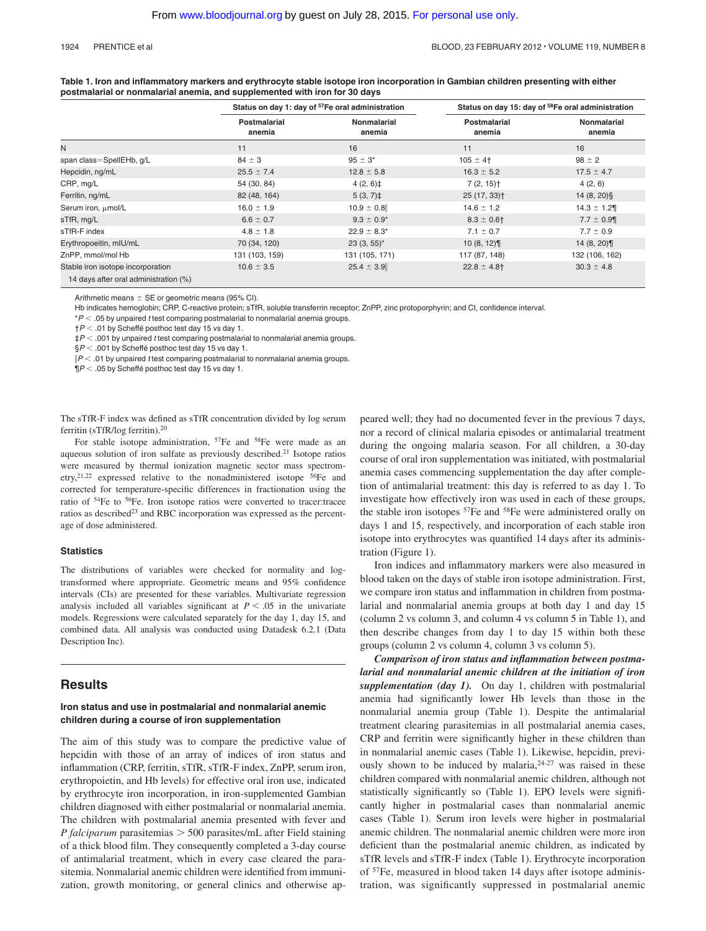#### 1924 PRENTICE et al BLOOD, 23 FEBRUARY 2012 • VOLUME 119, NUMBER 8

| Table 1. Iron and inflammatory markers and erythrocyte stable isotope iron incorporation in Gambian children presenting with either |
|-------------------------------------------------------------------------------------------------------------------------------------|
| postmalarial or nonmalarial anemia, and supplemented with iron for 30 days                                                          |

|                                                                            |                        | Status on day 1: day of <sup>57</sup> Fe oral administration | Status on day 15: day of <sup>58</sup> Fe oral administration |                       |  |
|----------------------------------------------------------------------------|------------------------|--------------------------------------------------------------|---------------------------------------------------------------|-----------------------|--|
|                                                                            | Postmalarial<br>anemia | Nonmalarial<br>anemia                                        | Postmalarial<br>anemia                                        | Nonmalarial<br>anemia |  |
| N                                                                          | 11                     | 16                                                           | 11                                                            | 16                    |  |
| span class=SpellEHb, g/L                                                   | $84 \pm 3$             | $95 \pm 3^*$                                                 | $105 \pm 4$ <sup>+</sup>                                      | $98 \pm 2$            |  |
| Hepcidin, ng/mL                                                            | $25.5 \pm 7.4$         | $12.8 \pm 5.8$                                               | $16.3 \pm 5.2$                                                | $17.5 \pm 4.7$        |  |
| CRP, mg/L                                                                  | 54 (30, 84)            | $4(2, 6)$ <sup>±</sup>                                       | $7(2, 15)$ <sup>+</sup>                                       | 4(2, 6)               |  |
| Ferritin, ng/mL                                                            | 82 (48, 164)           | $5(3, 7)$ ‡                                                  | $25(17, 33)$ <sup>+</sup>                                     | $14(8, 20)$ §         |  |
| Serum iron, µmol/L                                                         | $16.0 \pm 1.9$         | $10.9 \pm 0.8$                                               | $14.6 \pm 1.2$                                                | $14.3 \pm 1.2$        |  |
| sTfR, mg/L                                                                 | $6.6 \pm 0.7$          | $9.3 \pm 0.9^*$                                              | $8.3 \pm 0.61$                                                | $7.7 \pm 0.9$         |  |
| sTfR-F index                                                               | $4.8 \pm 1.8$          | $22.9 \pm 8.3^*$                                             | $7.1 \pm 0.7$                                                 | $7.7 \pm 0.9$         |  |
| Erythropoeitin, mIU/mL                                                     | 70 (34, 120)           | $23(3, 55)^*$                                                | 10(8, 12)                                                     | 14(8, 20)             |  |
| ZnPP, mmol/mol Hb                                                          | 131 (103, 159)         | 131 (105, 171)                                               | 117 (87, 148)                                                 | 132 (106, 162)        |  |
| Stable iron isotope incorporation<br>14 days after oral administration (%) | $10.6 \pm 3.5$         | $25.4 \pm 3.9$                                               | $22.8 \pm 4.8$ †                                              | $30.3 \pm 4.8$        |  |

Arithmetic means  $\pm$  SE or geometric means (95% CI).

Hb indicates hemoglobin; CRP, C-reactive protein; sTfR, soluble transferrin receptor; ZnPP, zinc protoporphyrin; and CI, confidence interval.

\**P* .05 by unpaired *t* test comparing postmalarial to nonmalarial anemia groups.

†*P* .01 by Scheffé posthoc test day 15 vs day 1.

‡*P* .001 by unpaired *t* test comparing postmalarial to nonmalarial anemia groups.

§*P* .001 by Scheffé posthoc test day 15 vs day 1.

*P* .01 by unpaired *t* test comparing postmalarial to nonmalarial anemia groups.

¶*P* .05 by Scheffé posthoc test day 15 vs day 1.

The sTfR-F index was defined as sTfR concentration divided by log serum ferritin (sTfR/log ferritin).20

For stable isotope administration, <sup>57</sup>Fe and <sup>58</sup>Fe were made as an aqueous solution of iron sulfate as previously described.21 Isotope ratios were measured by thermal ionization magnetic sector mass spectrometry,<sup>21,22</sup> expressed relative to the nonadministered isotope  $56Fe$  and corrected for temperature-specific differences in fractionation using the ratio of 54Fe to 56Fe. Iron isotope ratios were converted to tracer:tracee ratios as described<sup>23</sup> and RBC incorporation was expressed as the percentage of dose administered.

#### **Statistics**

The distributions of variables were checked for normality and logtransformed where appropriate. Geometric means and 95% confidence intervals (CIs) are presented for these variables. Multivariate regression analysis included all variables significant at  $P \leq .05$  in the univariate models. Regressions were calculated separately for the day 1, day 15, and combined data. All analysis was conducted using Datadesk 6.2.1 (Data Description Inc).

### **Results**

#### **Iron status and use in postmalarial and nonmalarial anemic children during a course of iron supplementation**

The aim of this study was to compare the predictive value of hepcidin with those of an array of indices of iron status and inflammation (CRP, ferritin, sTfR, sTfR-F index, ZnPP, serum iron, erythropoietin, and Hb levels) for effective oral iron use, indicated by erythrocyte iron incorporation, in iron-supplemented Gambian children diagnosed with either postmalarial or nonmalarial anemia. The children with postmalarial anemia presented with fever and *P falciparum* parasitemias  $>$  500 parasites/mL after Field staining of a thick blood film. They consequently completed a 3-day course of antimalarial treatment, which in every case cleared the parasitemia. Nonmalarial anemic children were identified from immunization, growth monitoring, or general clinics and otherwise appeared well; they had no documented fever in the previous 7 days, nor a record of clinical malaria episodes or antimalarial treatment during the ongoing malaria season. For all children, a 30-day course of oral iron supplementation was initiated, with postmalarial anemia cases commencing supplementation the day after completion of antimalarial treatment: this day is referred to as day 1. To investigate how effectively iron was used in each of these groups, the stable iron isotopes <sup>57</sup>Fe and <sup>58</sup>Fe were administered orally on days 1 and 15, respectively, and incorporation of each stable iron isotope into erythrocytes was quantified 14 days after its administration (Figure 1).

Iron indices and inflammatory markers were also measured in blood taken on the days of stable iron isotope administration. First, we compare iron status and inflammation in children from postmalarial and nonmalarial anemia groups at both day 1 and day 15 (column 2 vs column 3, and column 4 vs column 5 in Table 1), and then describe changes from day 1 to day 15 within both these groups (column 2 vs column 4, column 3 vs column 5).

*Comparison of iron status and inflammation between postmalarial and nonmalarial anemic children at the initiation of iron supplementation (day 1).* On day 1, children with postmalarial anemia had significantly lower Hb levels than those in the nonmalarial anemia group (Table 1). Despite the antimalarial treatment clearing parasitemias in all postmalarial anemia cases, CRP and ferritin were significantly higher in these children than in nonmalarial anemic cases (Table 1). Likewise, hepcidin, previously shown to be induced by malaria, $24-27$  was raised in these children compared with nonmalarial anemic children, although not statistically significantly so (Table 1). EPO levels were significantly higher in postmalarial cases than nonmalarial anemic cases (Table 1). Serum iron levels were higher in postmalarial anemic children. The nonmalarial anemic children were more iron deficient than the postmalarial anemic children, as indicated by sTfR levels and sTfR-F index (Table 1). Erythrocyte incorporation of 57Fe, measured in blood taken 14 days after isotope administration, was significantly suppressed in postmalarial anemic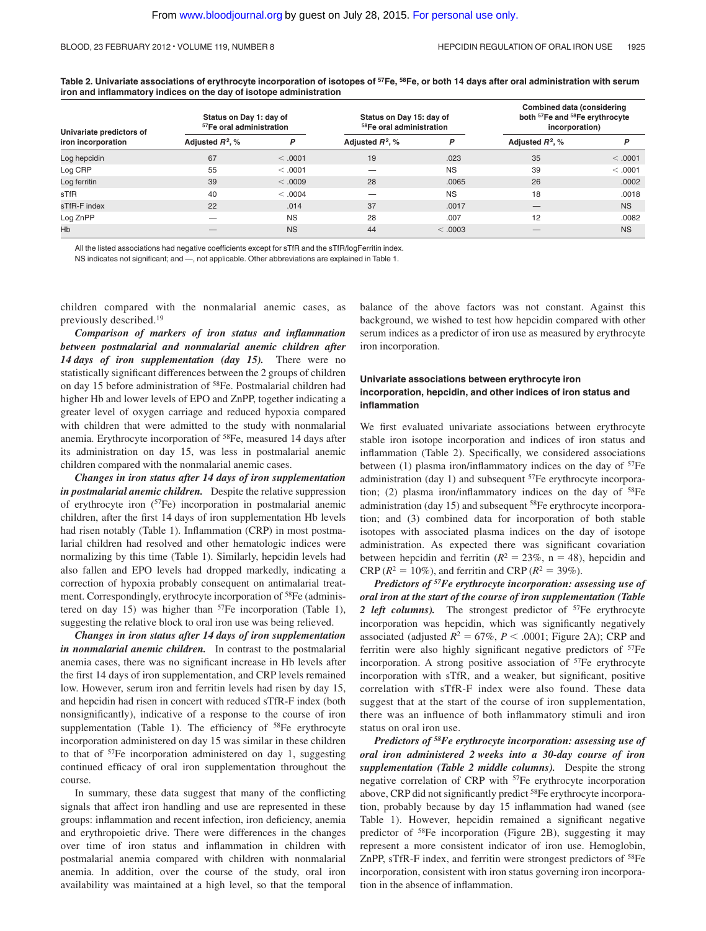**Table 2. Univariate associations of erythrocyte incorporation of isotopes of 57Fe, 58Fe, or both 14 days after oral administration with serum iron and inflammatory indices on the day of isotope administration**

| Univariate predictors of<br>iron incorporation | Status on Day 1: day of<br><sup>57</sup> Fe oral administration |           | Status on Day 15: day of<br>58Fe oral administration |           | <b>Combined data (considering</b><br>both <sup>57</sup> Fe and <sup>58</sup> Fe erythrocyte<br>incorporation) |           |
|------------------------------------------------|-----------------------------------------------------------------|-----------|------------------------------------------------------|-----------|---------------------------------------------------------------------------------------------------------------|-----------|
|                                                | Adjusted $R^2$ , %                                              | P         | Adjusted $R^2$ , %                                   | P         | Adjusted $R^2$ , %                                                                                            | P         |
| Log hepcidin                                   | 67                                                              | < 0.001   | 19                                                   | .023      | 35                                                                                                            | < 0.001   |
| Log CRP                                        | 55                                                              | < 0.001   |                                                      | <b>NS</b> | 39                                                                                                            | < 0.001   |
| Log ferritin                                   | 39                                                              | < 0.009   | 28                                                   | .0065     | 26                                                                                                            | .0002     |
| sTfR                                           | 40                                                              | < 0.004   |                                                      | <b>NS</b> | 18                                                                                                            | .0018     |
| sTfR-F index                                   | 22                                                              | .014      | 37                                                   | .0017     |                                                                                                               | <b>NS</b> |
| Log ZnPP                                       |                                                                 | <b>NS</b> | 28                                                   | .007      | 12                                                                                                            | .0082     |
| Hb                                             |                                                                 | <b>NS</b> | 44                                                   | < 0.0003  |                                                                                                               | <b>NS</b> |

All the listed associations had negative coefficients except for sTfR and the sTfR/logFerritin index.

NS indicates not significant; and —, not applicable. Other abbreviations are explained in Table 1.

children compared with the nonmalarial anemic cases, as previously described.19

*Comparison of markers of iron status and inflammation between postmalarial and nonmalarial anemic children after 14 days of iron supplementation (day 15).* There were no statistically significant differences between the 2 groups of children on day 15 before administration of 58Fe. Postmalarial children had higher Hb and lower levels of EPO and ZnPP, together indicating a greater level of oxygen carriage and reduced hypoxia compared with children that were admitted to the study with nonmalarial anemia. Erythrocyte incorporation of 58Fe, measured 14 days after its administration on day 15, was less in postmalarial anemic children compared with the nonmalarial anemic cases.

*Changes in iron status after 14 days of iron supplementation in postmalarial anemic children.* Despite the relative suppression of erythrocyte iron (57Fe) incorporation in postmalarial anemic children, after the first 14 days of iron supplementation Hb levels had risen notably (Table 1). Inflammation (CRP) in most postmalarial children had resolved and other hematologic indices were normalizing by this time (Table 1). Similarly, hepcidin levels had also fallen and EPO levels had dropped markedly, indicating a correction of hypoxia probably consequent on antimalarial treatment. Correspondingly, erythrocyte incorporation of 58Fe (administered on day 15) was higher than  $57Fe$  incorporation (Table 1), suggesting the relative block to oral iron use was being relieved.

*Changes in iron status after 14 days of iron supplementation in nonmalarial anemic children.* In contrast to the postmalarial anemia cases, there was no significant increase in Hb levels after the first 14 days of iron supplementation, and CRP levels remained low. However, serum iron and ferritin levels had risen by day 15, and hepcidin had risen in concert with reduced sTfR-F index (both nonsignificantly), indicative of a response to the course of iron supplementation (Table 1). The efficiency of <sup>58</sup>Fe erythrocyte incorporation administered on day 15 was similar in these children to that of 57Fe incorporation administered on day 1, suggesting continued efficacy of oral iron supplementation throughout the course.

In summary, these data suggest that many of the conflicting signals that affect iron handling and use are represented in these groups: inflammation and recent infection, iron deficiency, anemia and erythropoietic drive. There were differences in the changes over time of iron status and inflammation in children with postmalarial anemia compared with children with nonmalarial anemia. In addition, over the course of the study, oral iron availability was maintained at a high level, so that the temporal balance of the above factors was not constant. Against this background, we wished to test how hepcidin compared with other serum indices as a predictor of iron use as measured by erythrocyte iron incorporation.

#### **Univariate associations between erythrocyte iron incorporation, hepcidin, and other indices of iron status and inflammation**

We first evaluated univariate associations between erythrocyte stable iron isotope incorporation and indices of iron status and inflammation (Table 2). Specifically, we considered associations between  $(1)$  plasma iron/inflammatory indices on the day of  $57Fe$ administration (day 1) and subsequent <sup>57</sup>Fe erythrocyte incorporation; (2) plasma iron/inflammatory indices on the day of  $58Fe$ administration (day 15) and subsequent 58Fe erythrocyte incorporation; and (3) combined data for incorporation of both stable isotopes with associated plasma indices on the day of isotope administration. As expected there was significant covariation between hepcidin and ferritin  $(R^2 = 23\%, n = 48)$ , hepcidin and  $CRP (R^2 = 10\%)$ , and ferritin and CRP ( $R^2 = 39\%$ ).

*Predictors of 57Fe erythrocyte incorporation: assessing use of oral iron at the start of the course of iron supplementation (Table* 2 *left columns*). The strongest predictor of <sup>57</sup>Fe erythrocyte incorporation was hepcidin, which was significantly negatively associated (adjusted  $R^2 = 67\%, P < .0001$ ; Figure 2A); CRP and ferritin were also highly significant negative predictors of <sup>57</sup>Fe incorporation. A strong positive association of 57Fe erythrocyte incorporation with sTfR, and a weaker, but significant, positive correlation with sTfR-F index were also found. These data suggest that at the start of the course of iron supplementation, there was an influence of both inflammatory stimuli and iron status on oral iron use.

*Predictors of 58Fe erythrocyte incorporation: assessing use of oral iron administered 2 weeks into a 30-day course of iron supplementation (Table 2 middle columns).* Despite the strong negative correlation of CRP with 57Fe erythrocyte incorporation above, CRP did not significantly predict <sup>58</sup>Fe erythrocyte incorporation, probably because by day 15 inflammation had waned (see Table 1). However, hepcidin remained a significant negative predictor of 58Fe incorporation (Figure 2B), suggesting it may represent a more consistent indicator of iron use. Hemoglobin, ZnPP, sTfR-F index, and ferritin were strongest predictors of <sup>58</sup>Fe incorporation, consistent with iron status governing iron incorporation in the absence of inflammation.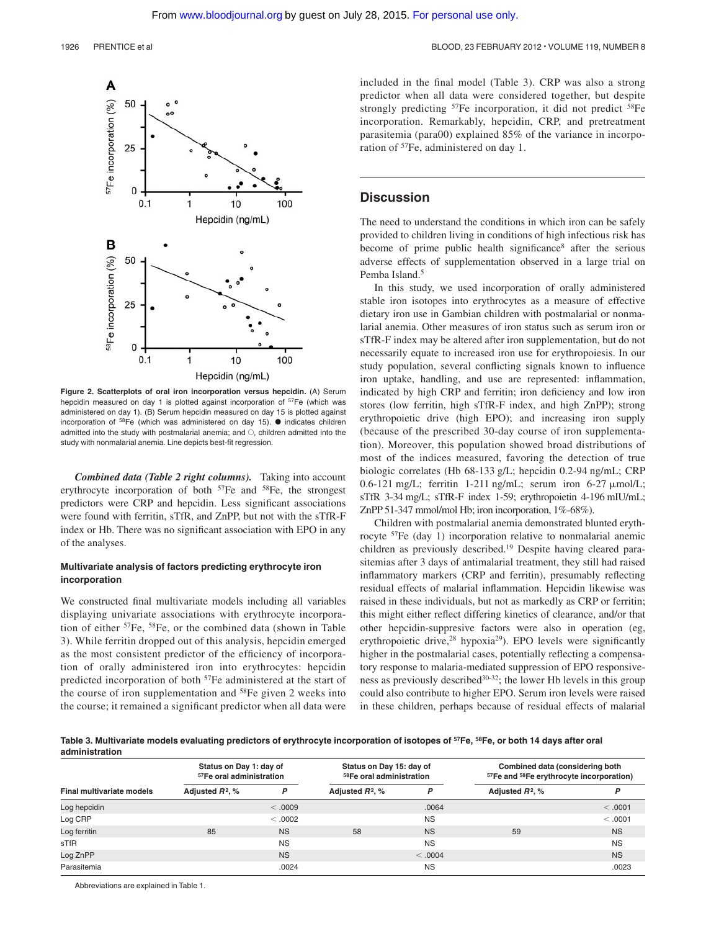

**Figure 2. Scatterplots of oral iron incorporation versus hepcidin.** (A) Serum hepcidin measured on day 1 is plotted against incorporation of <sup>57</sup>Fe (which was administered on day 1). (B) Serum hepcidin measured on day 15 is plotted against incorporation of  $58Fe$  (which was administered on day 15).  $\bullet$  indicates children admitted into the study with postmalarial anemia; and  $\bigcirc$ , children admitted into the study with nonmalarial anemia. Line depicts best-fit regression.

*Combined data (Table 2 right columns).* Taking into account erythrocyte incorporation of both <sup>57</sup>Fe and <sup>58</sup>Fe, the strongest predictors were CRP and hepcidin. Less significant associations were found with ferritin, sTfR, and ZnPP, but not with the sTfR-F index or Hb. There was no significant association with EPO in any of the analyses.

#### **Multivariate analysis of factors predicting erythrocyte iron incorporation**

We constructed final multivariate models including all variables displaying univariate associations with erythrocyte incorporation of either 57Fe, 58Fe, or the combined data (shown in Table 3). While ferritin dropped out of this analysis, hepcidin emerged as the most consistent predictor of the efficiency of incorporation of orally administered iron into erythrocytes: hepcidin predicted incorporation of both 57Fe administered at the start of the course of iron supplementation and <sup>58</sup>Fe given 2 weeks into the course; it remained a significant predictor when all data were included in the final model (Table 3). CRP was also a strong predictor when all data were considered together, but despite strongly predicting <sup>57</sup>Fe incorporation, it did not predict <sup>58</sup>Fe incorporation. Remarkably, hepcidin, CRP, and pretreatment parasitemia (para00) explained 85% of the variance in incorporation of <sup>57</sup>Fe, administered on day 1.

### **Discussion**

The need to understand the conditions in which iron can be safely provided to children living in conditions of high infectious risk has become of prime public health significance<sup>8</sup> after the serious adverse effects of supplementation observed in a large trial on Pemba Island.<sup>5</sup>

In this study, we used incorporation of orally administered stable iron isotopes into erythrocytes as a measure of effective dietary iron use in Gambian children with postmalarial or nonmalarial anemia. Other measures of iron status such as serum iron or sTfR-F index may be altered after iron supplementation, but do not necessarily equate to increased iron use for erythropoiesis. In our study population, several conflicting signals known to influence iron uptake, handling, and use are represented: inflammation, indicated by high CRP and ferritin; iron deficiency and low iron stores (low ferritin, high sTfR-F index, and high ZnPP); strong erythropoietic drive (high EPO); and increasing iron supply (because of the prescribed 30-day course of iron supplementation). Moreover, this population showed broad distributions of most of the indices measured, favoring the detection of true biologic correlates (Hb 68-133 g/L; hepcidin 0.2-94 ng/mL; CRP 0.6-121 mg/L; ferritin 1-211 ng/mL; serum iron 6-27  $\mu$ mol/L; sTfR 3-34 mg/L; sTfR-F index 1-59; erythropoietin 4-196 mIU/mL; ZnPP 51-347 mmol/mol Hb; iron incorporation, 1%-68%).

Children with postmalarial anemia demonstrated blunted erythrocyte 57Fe (day 1) incorporation relative to nonmalarial anemic children as previously described.<sup>19</sup> Despite having cleared parasitemias after 3 days of antimalarial treatment, they still had raised inflammatory markers (CRP and ferritin), presumably reflecting residual effects of malarial inflammation. Hepcidin likewise was raised in these individuals, but not as markedly as CRP or ferritin; this might either reflect differing kinetics of clearance, and/or that other hepcidin-suppresive factors were also in operation (eg, erythropoietic drive,<sup>28</sup> hypoxia<sup>29</sup>). EPO levels were significantly higher in the postmalarial cases, potentially reflecting a compensatory response to malaria-mediated suppression of EPO responsiveness as previously described<sup>30-32</sup>; the lower Hb levels in this group could also contribute to higher EPO. Serum iron levels were raised in these children, perhaps because of residual effects of malarial

**Table 3. Multivariate models evaluating predictors of erythrocyte incorporation of isotopes of 57Fe, 58Fe, or both 14 days after oral administration**

|                           | Status on Day 1: day of<br><sup>57</sup> Fe oral administration |           | Status on Day 15: day of<br>58Fe oral administration |           | Combined data (considering both<br><sup>57</sup> Fe and <sup>58</sup> Fe erythrocyte incorporation) |           |
|---------------------------|-----------------------------------------------------------------|-----------|------------------------------------------------------|-----------|-----------------------------------------------------------------------------------------------------|-----------|
| Final multivariate models | Adjusted $R^2$ , %                                              | P         | Adjusted $R^2$ , %                                   | D         | Adjusted $R^2$ , %                                                                                  | P         |
| Log hepcidin              |                                                                 | $0000$ .  |                                                      | .0064     |                                                                                                     | < .0001   |
| Log CRP                   |                                                                 | < 0.0002  |                                                      | <b>NS</b> |                                                                                                     | < 0.001   |
| Log ferritin              | 85                                                              | <b>NS</b> | 58                                                   | <b>NS</b> | 59                                                                                                  | <b>NS</b> |
| sTfR                      |                                                                 | <b>NS</b> |                                                      | <b>NS</b> |                                                                                                     | <b>NS</b> |
| Log ZnPP                  |                                                                 | <b>NS</b> |                                                      | < .0004   |                                                                                                     | <b>NS</b> |
| Parasitemia               |                                                                 | .0024     |                                                      | <b>NS</b> |                                                                                                     | .0023     |

Abbreviations are explained in Table 1.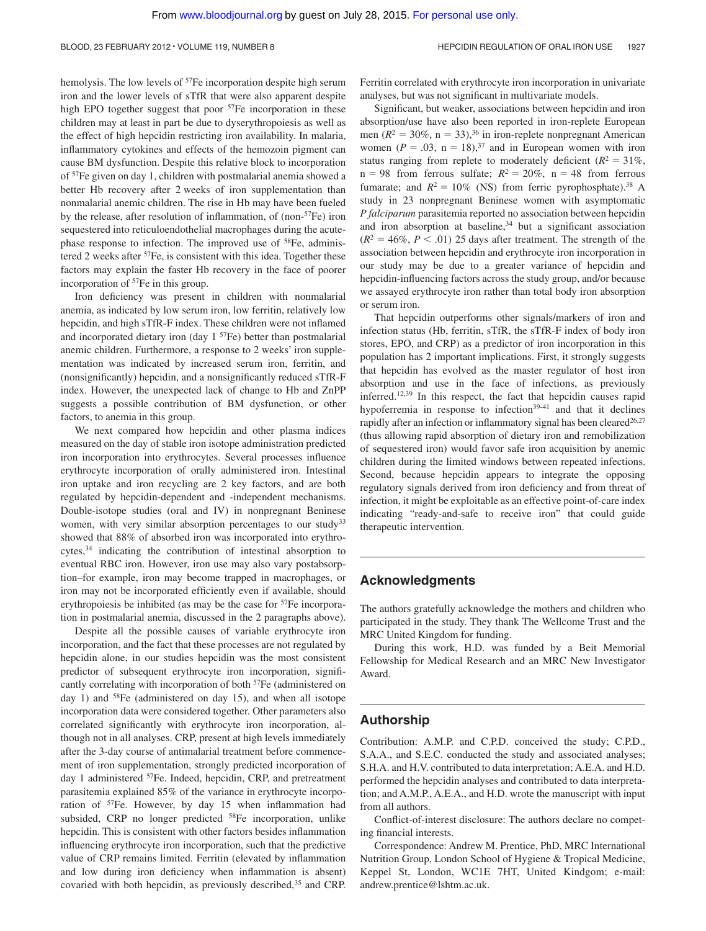hemolysis. The low levels of <sup>57</sup>Fe incorporation despite high serum iron and the lower levels of sTfR that were also apparent despite high EPO together suggest that poor <sup>57</sup>Fe incorporation in these children may at least in part be due to dyserythropoiesis as well as the effect of high hepcidin restricting iron availability. In malaria, inflammatory cytokines and effects of the hemozoin pigment can cause BM dysfunction. Despite this relative block to incorporation of 57Fe given on day 1, children with postmalarial anemia showed a better Hb recovery after 2 weeks of iron supplementation than nonmalarial anemic children. The rise in Hb may have been fueled by the release, after resolution of inflammation, of (non-57Fe) iron sequestered into reticuloendothelial macrophages during the acutephase response to infection. The improved use of 58Fe, administered 2 weeks after <sup>57</sup>Fe, is consistent with this idea. Together these factors may explain the faster Hb recovery in the face of poorer incorporation of 57Fe in this group.

Iron deficiency was present in children with nonmalarial anemia, as indicated by low serum iron, low ferritin, relatively low hepcidin, and high sTfR-F index. These children were not inflamed and incorporated dietary iron (day  $1^{57}Fe$ ) better than postmalarial anemic children. Furthermore, a response to 2 weeks' iron supplementation was indicated by increased serum iron, ferritin, and (nonsignificantly) hepcidin, and a nonsignificantly reduced sTfR-F index. However, the unexpected lack of change to Hb and ZnPP suggests a possible contribution of BM dysfunction, or other factors, to anemia in this group.

We next compared how hepcidin and other plasma indices measured on the day of stable iron isotope administration predicted iron incorporation into erythrocytes. Several processes influence erythrocyte incorporation of orally administered iron. Intestinal iron uptake and iron recycling are 2 key factors, and are both regulated by hepcidin-dependent and -independent mechanisms. Double-isotope studies (oral and IV) in nonpregnant Beninese women, with very similar absorption percentages to our study<sup>33</sup> showed that 88% of absorbed iron was incorporated into erythrocytes,34 indicating the contribution of intestinal absorption to eventual RBC iron. However, iron use may also vary postabsorption–for example, iron may become trapped in macrophages, or iron may not be incorporated efficiently even if available, should erythropoiesis be inhibited (as may be the case for <sup>57</sup>Fe incorporation in postmalarial anemia, discussed in the 2 paragraphs above).

Despite all the possible causes of variable erythrocyte iron incorporation, and the fact that these processes are not regulated by hepcidin alone, in our studies hepcidin was the most consistent predictor of subsequent erythrocyte iron incorporation, significantly correlating with incorporation of both 57Fe (administered on day 1) and <sup>58</sup>Fe (administered on day 15), and when all isotope incorporation data were considered together. Other parameters also correlated significantly with erythrocyte iron incorporation, although not in all analyses. CRP, present at high levels immediately after the 3-day course of antimalarial treatment before commencement of iron supplementation, strongly predicted incorporation of day 1 administered 57Fe. Indeed, hepcidin, CRP, and pretreatment parasitemia explained 85% of the variance in erythrocyte incorporation of 57Fe. However, by day 15 when inflammation had subsided, CRP no longer predicted <sup>58</sup>Fe incorporation, unlike hepcidin. This is consistent with other factors besides inflammation influencing erythrocyte iron incorporation, such that the predictive value of CRP remains limited. Ferritin (elevated by inflammation and low during iron deficiency when inflammation is absent) covaried with both hepcidin, as previously described,<sup>35</sup> and CRP.

Ferritin correlated with erythrocyte iron incorporation in univariate analyses, but was not significant in multivariate models.

Significant, but weaker, associations between hepcidin and iron absorption/use have also been reported in iron-replete European men  $(R^2 = 30\%, n = 33)$ ,<sup>36</sup> in iron-replete nonpregnant American women ( $P = 0.03$ ,  $n = 18$ ),<sup>37</sup> and in European women with iron status ranging from replete to moderately deficient ( $R^2 = 31\%$ ,  $n = 98$  from ferrous sulfate;  $R^2 = 20\%$ ,  $n = 48$  from ferrous fumarate; and  $R^2 = 10\%$  (NS) from ferric pyrophosphate).<sup>38</sup> A study in 23 nonpregnant Beninese women with asymptomatic *P falciparum* parasitemia reported no association between hepcidin and iron absorption at baseline, $34$  but a significant association  $(R<sup>2</sup> = 46\%, P < .01)$  25 days after treatment. The strength of the association between hepcidin and erythrocyte iron incorporation in our study may be due to a greater variance of hepcidin and hepcidin-influencing factors across the study group, and/or because we assayed erythrocyte iron rather than total body iron absorption or serum iron.

That hepcidin outperforms other signals/markers of iron and infection status (Hb, ferritin, sTfR, the sTfR-F index of body iron stores, EPO, and CRP) as a predictor of iron incorporation in this population has 2 important implications. First, it strongly suggests that hepcidin has evolved as the master regulator of host iron absorption and use in the face of infections, as previously inferred.12,39 In this respect, the fact that hepcidin causes rapid hypoferremia in response to infection<sup>39-41</sup> and that it declines rapidly after an infection or inflammatory signal has been cleared<sup>26,27</sup> (thus allowing rapid absorption of dietary iron and remobilization of sequestered iron) would favor safe iron acquisition by anemic children during the limited windows between repeated infections. Second, because hepcidin appears to integrate the opposing regulatory signals derived from iron deficiency and from threat of infection, it might be exploitable as an effective point-of-care index indicating "ready-and-safe to receive iron" that could guide therapeutic intervention.

# **Acknowledgments**

The authors gratefully acknowledge the mothers and children who participated in the study. They thank The Wellcome Trust and the MRC United Kingdom for funding.

During this work, H.D. was funded by a Beit Memorial Fellowship for Medical Research and an MRC New Investigator Award.

### **Authorship**

Contribution: A.M.P. and C.P.D. conceived the study; C.P.D., S.A.A., and S.E.C. conducted the study and associated analyses; S.H.A. and H.V. contributed to data interpretation; A.E.A. and H.D. performed the hepcidin analyses and contributed to data interpretation; and A.M.P., A.E.A., and H.D. wrote the manuscript with input from all authors.

Conflict-of-interest disclosure: The authors declare no competing financial interests.

Correspondence: Andrew M. Prentice, PhD, MRC International Nutrition Group, London School of Hygiene & Tropical Medicine, Keppel St, London, WC1E 7HT, United Kindgom; e-mail: andrew.prentice@lshtm.ac.uk.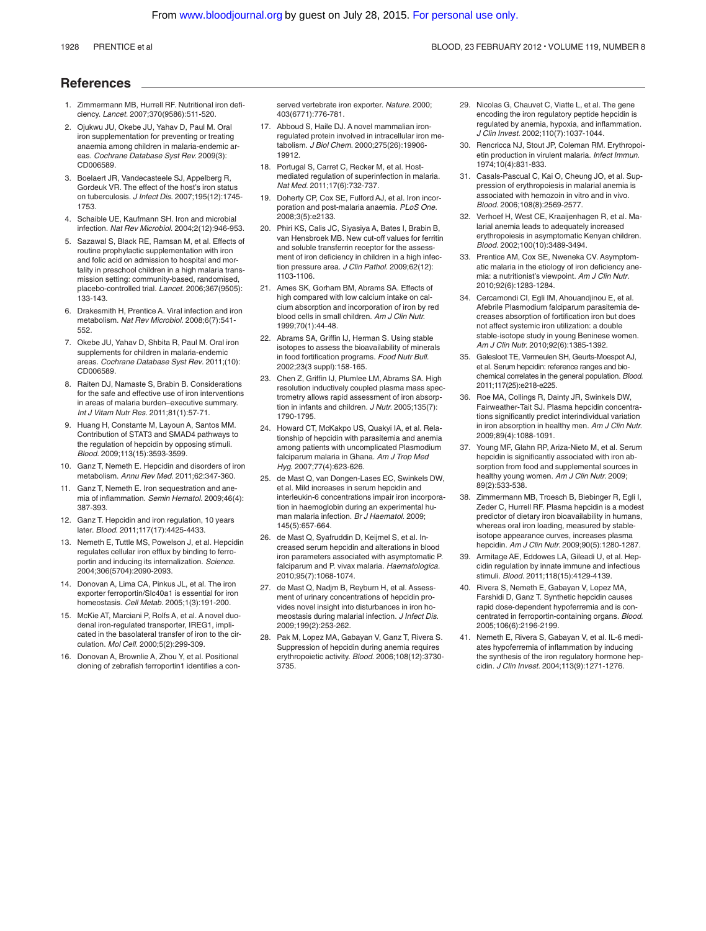#### **References**

- 1. Zimmermann MB, Hurrell RF. Nutritional iron deficiency. *Lancet.* 2007;370(9586):511-520.
- 2. Ojukwu JU, Okebe JU, Yahav D, Paul M. Oral iron supplementation for preventing or treating anaemia among children in malaria-endemic areas. *Cochrane Database Syst Rev.* 2009(3): CD006589.
- 3. Boelaert JR, Vandecasteele SJ, Appelberg R, Gordeuk VR. The effect of the host's iron status on tuberculosis. *J Infect Dis.* 2007;195(12):1745- 1753.
- 4. Schaible UE, Kaufmann SH. Iron and microbial infection. *Nat Rev Microbiol.* 2004;2(12):946-953.
- 5. Sazawal S, Black RE, Ramsan M, et al. Effects of routine prophylactic supplementation with iron and folic acid on admission to hospital and mortality in preschool children in a high malaria transmission setting: community-based, randomised, placebo-controlled trial. *Lancet.* 2006;367(9505): 133-143.
- 6. Drakesmith H, Prentice A. Viral infection and iron metabolism. *Nat Rev Microbiol.* 2008;6(7):541- 552.
- 7. Okebe JU, Yahav D, Shbita R, Paul M. Oral iron supplements for children in malaria-endemic areas. *Cochrane Database Syst Rev.* 2011;(10): CD006589.
- 8. Raiten DJ, Namaste S, Brabin B. Considerations for the safe and effective use of iron interventions in areas of malaria burden–executive summary. *Int J Vitam Nutr Res.* 2011;81(1):57-71.
- 9. Huang H, Constante M, Layoun A, Santos MM. Contribution of STAT3 and SMAD4 pathways to the regulation of hepcidin by opposing stimuli. *Blood.* 2009;113(15):3593-3599.
- 10. Ganz T, Nemeth E. Hepcidin and disorders of iron metabolism. *Annu Rev Med.* 2011;62:347-360.
- 11. Ganz T. Nemeth E. Iron sequestration and anemia of inflammation. *Semin Hematol.* 2009;46(4): 387-393.
- 12. Ganz T. Hepcidin and iron regulation, 10 years later. *Blood.* 2011;117(17):4425-4433.
- 13. Nemeth E, Tuttle MS, Powelson J, et al. Hepcidin regulates cellular iron efflux by binding to ferroportin and inducing its internalization. *Science.* 2004;306(5704):2090-2093.
- 14. Donovan A, Lima CA, Pinkus JL, et al. The iron exporter ferroportin/Slc40a1 is essential for iron homeostasis. *Cell Metab.* 2005;1(3):191-200.
- 15. McKie AT, Marciani P, Rolfs A, et al. A novel duodenal iron-regulated transporter, IREG1, implicated in the basolateral transfer of iron to the circulation. *Mol Cell.* 2000;5(2):299-309.
- 16. Donovan A, Brownlie A, Zhou Y, et al. Positional cloning of zebrafish ferroportin1 identifies a con-

served vertebrate iron exporter. *Nature.* 2000; 403(6771):776-781.

- 17. Abboud S, Haile DJ. A novel mammalian ironregulated protein involved in intracellular iron metabolism. *J Biol Chem.* 2000;275(26):19906- 19912.
- 18. Portugal S, Carret C, Recker M, et al. Hostmediated regulation of superinfection in malaria. *Nat Med.* 2011;17(6):732-737.
- 19. Doherty CP, Cox SE, Fulford AJ, et al. Iron incorporation and post-malaria anaemia. *PLoS One.* 2008;3(5):e2133.
- 20. Phiri KS, Calis JC, Siyasiya A, Bates I, Brabin B, van Hensbroek MB. New cut-off values for ferritin and soluble transferrin receptor for the assessment of iron deficiency in children in a high infection pressure area. *J Clin Pathol.* 2009;62(12): 1103-1106.
- 21. Ames SK, Gorham BM, Abrams SA. Effects of high compared with low calcium intake on calcium absorption and incorporation of iron by red blood cells in small children. *Am J Clin Nutr.* 1999;70(1):44-48.
- 22. Abrams SA, Griffin IJ, Herman S. Using stable isotopes to assess the bioavailability of minerals in food fortification programs. *Food Nutr Bull.* 2002;23(3 suppl):158-165.
- 23. Chen Z, Griffin IJ, Plumlee LM, Abrams SA. High resolution inductively coupled plasma mass spectrometry allows rapid assessment of iron absorption in infants and children. *J Nutr.* 2005;135(7): 1790-1795.
- 24. Howard CT, McKakpo US, Quakyi IA, et al. Relationship of hepcidin with parasitemia and anemia among patients with uncomplicated Plasmodium falciparum malaria in Ghana. *Am J Trop Med Hyg.* 2007;77(4):623-626.
- 25. de Mast Q, van Dongen-Lases EC, Swinkels DW, et al. Mild increases in serum hepcidin and interleukin-6 concentrations impair iron incorporation in haemoglobin during an experimental human malaria infection. *Br J Haematol.* 2009; 145(5):657-664.
- 26. de Mast Q, Syafruddin D, Keijmel S, et al. Increased serum hepcidin and alterations in blood iron parameters associated with asymptomatic P. falciparum and P. vivax malaria. *Haematologica.* 2010;95(7):1068-1074.
- 27. de Mast Q, Nadjm B, Reyburn H, et al. Assessment of urinary concentrations of hepcidin provides novel insight into disturbances in iron homeostasis during malarial infection. *J Infect Dis.* 2009;199(2):253-262.
- 28. Pak M, Lopez MA, Gabayan V, Ganz T, Rivera S. Suppression of hepcidin during anemia requires erythropoietic activity. *Blood.* 2006;108(12):3730- 3735.
- 29. Nicolas G, Chauvet C, Viatte L, et al. The gene encoding the iron regulatory peptide hepcidin is regulated by anemia, hypoxia, and inflammation. *J Clin Invest.* 2002;110(7):1037-1044.
- 30. Rencricca NJ, Stout JP, Coleman RM. Erythropoietin production in virulent malaria. *Infect Immun.* 1974;10(4):831-833.
- 31. Casals-Pascual C, Kai O, Cheung JO, et al. Suppression of erythropoiesis in malarial anemia is associated with hemozoin in vitro and in vivo. *Blood.* 2006;108(8):2569-2577.
- 32. Verhoef H, West CE, Kraaijenhagen R, et al. Malarial anemia leads to adequately increased erythropoiesis in asymptomatic Kenyan children. *Blood.* 2002;100(10):3489-3494.
- 33. Prentice AM, Cox SE, Nweneka CV. Asymptomatic malaria in the etiology of iron deficiency anemia: a nutritionist's viewpoint. *Am J Clin Nutr.* 2010;92(6):1283-1284.
- 34. Cercamondi CI, Egli IM, Ahouandjinou E, et al. Afebrile Plasmodium falciparum parasitemia decreases absorption of fortification iron but does not affect systemic iron utilization: a double stable-isotope study in young Beninese women. *Am J Clin Nutr.* 2010;92(6):1385-1392.
- 35. Galesloot TE, Vermeulen SH, Geurts-Moespot AJ, et al. Serum hepcidin: reference ranges and biochemical correlates in the general population. *Blood.* 2011;117(25):e218-e225.
- 36. Roe MA, Collings R, Dainty JR, Swinkels DW, Fairweather-Tait SJ. Plasma hepcidin concentrations significantly predict interindividual variation in iron absorption in healthy men. *Am J Clin Nutr.* 2009;89(4):1088-1091.
- 37. Young MF, Glahn RP, Ariza-Nieto M, et al. Serum hepcidin is significantly associated with iron absorption from food and supplemental sources in healthy young women. *Am J Clin Nutr.* 2009; 89(2):533-538.
- 38. Zimmermann MB, Troesch B, Biebinger R, Egli I, Zeder C, Hurrell RF. Plasma hepcidin is a modest predictor of dietary iron bioavailability in humans, whereas oral iron loading, measured by stableisotope appearance curves, increases plasma hepcidin. *Am J Clin Nutr.* 2009;90(5):1280-1287.
- 39. Armitage AE, Eddowes LA, Gileadi U, et al. Hepcidin regulation by innate immune and infectious stimuli. *Blood.* 2011;118(15):4129-4139.
- 40. Rivera S, Nemeth E, Gabayan V, Lopez MA, Farshidi D, Ganz T. Synthetic hepcidin causes rapid dose-dependent hypoferremia and is concentrated in ferroportin-containing organs. *Blood.* 2005;106(6):2196-2199.
- 41. Nemeth E, Rivera S, Gabayan V, et al. IL-6 mediates hypoferremia of inflammation by inducing the synthesis of the iron regulatory hormone hepcidin. *J Clin Invest.* 2004;113(9):1271-1276.